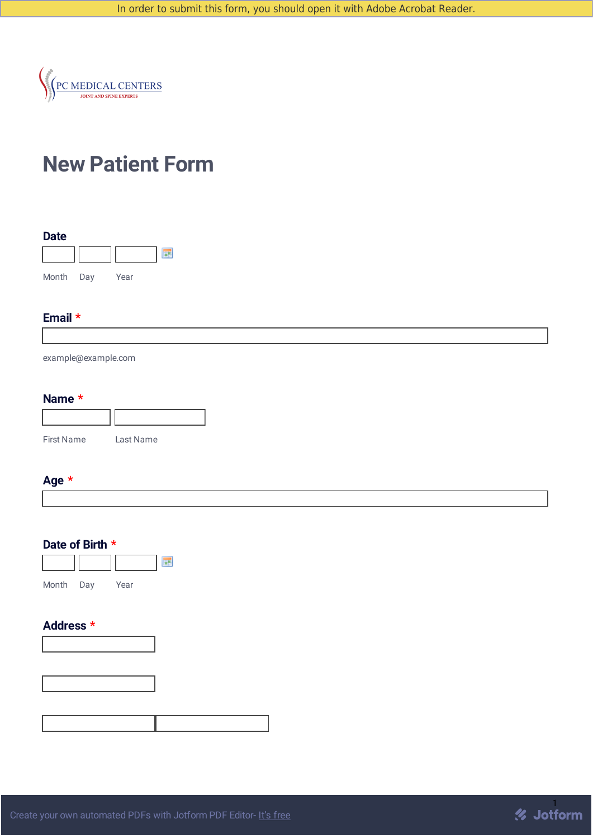

# **New Patient Form**



#### **Email \***

example@example.com

#### **Name \***

| <b>First Name</b> | Last Name |
|-------------------|-----------|

## **Age \***



#### **Address \***



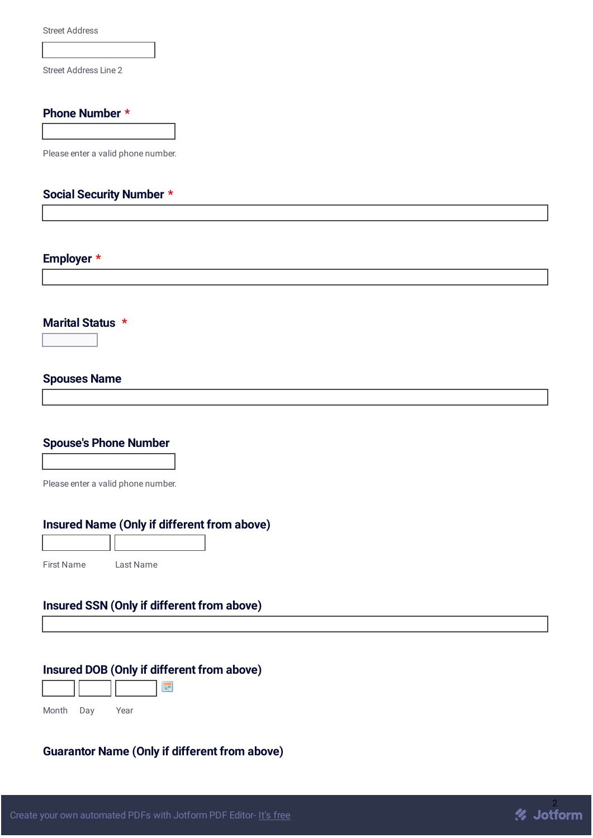Street Address

Street Address Line 2

#### **Phone Number \***

Please enter a valid phone number.

# **Social Security Number \***

## **Employer \***

**Marital Status \***

 $\overline{\mathbf{r}}$ 

# **Spouses Name**

#### **Spouse's Phone Number**

Please enter a valid phone number.

### **Insured Name (Only if different from above)**

First Name Last Name

#### **Insured SSN (Only if different from above)**

#### **Insured DOB (Only if different from above)**

| Month | Day | Year |  |
|-------|-----|------|--|

# **Guarantor Name (Only if different from above)**

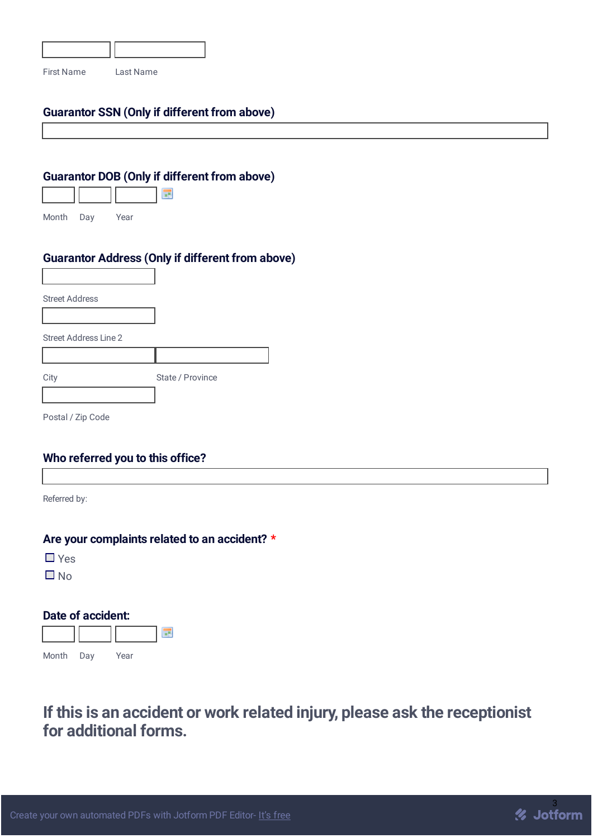| <b>First Name</b> | Last Name |
|-------------------|-----------|

## **Guarantor SSN (Only if different from above)**

#### **Guarantor DOB (Only if different from above)**

| Month | Day | Year |  |
|-------|-----|------|--|

### **Guarantor Address (Only if different from above)**

| <b>Street Address</b>        |                  |
|------------------------------|------------------|
|                              |                  |
| <b>Street Address Line 2</b> |                  |
|                              |                  |
| City                         | State / Province |
|                              |                  |
| Postal / Zip Code            |                  |

#### **Who referred you to this office?**

Referred by:

#### **Are your complaints related to an accident? \***

■ Yes

 $\Box$  No

# **Date of accident:**



# **If this is an accident or work related injury, please ask the receptionist for additional forms.**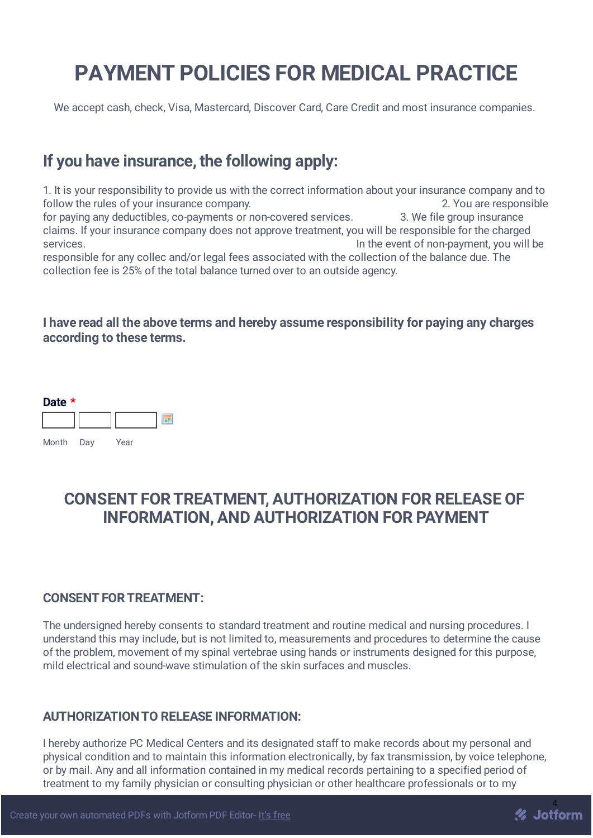# **PAYMENT POLICIES FOR MEDICAL PRACTICE**

We accept cash, check, Visa, Mastercard, Discover Card, Care Credit and most insurance companies.

# **If you have insurance, the following apply:**

1. It is your responsibility to provide us with the correct information about your insurance company and to follow the rules of your insurance company. The same state of the second state of  $\sim$  2. You are responsible for paying any deductibles, co-payments or non-covered services. 3. We file group insurance claims. If your insurance company does not approve treatment, you will be responsible for the charged services. The event of non-payment, you will be responsible for any collec and/or legal fees associated with the collection of the balance due. The collection fee is 25% of the total balance turned over to an outside agency.

# **I have read all the above terms and hereby assume responsibility for paying any charges according to these terms.**



# **CONSENT FORTREATMENT, AUTHORIZATION FOR RELEASE OF INFORMATION, AND AUTHORIZATION FOR PAYMENT**

# **CONSENT FORTREATMENT:**

The undersigned hereby consents to standard treatment and routine medical and nursing procedures. I understand this may include, but is not limited to, measurements and procedures to determine the cause of the problem, movement of my spinal vertebrae using hands or instruments designed for this purpose, mild electrical and sound-wave stimulation of the skin surfaces and muscles.

# **AUTHORIZATIONTO RELEASE INFORMATION:**

I hereby authorize PC Medical Centers and its designated staff to make records about my personal and physical condition and to maintain this information electronically, by fax transmission, by voice telephone, or by mail. Any and all information contained in my medical records pertaining to a specified period of treatment to my family physician or consulting physician or other healthcare professionals or to my

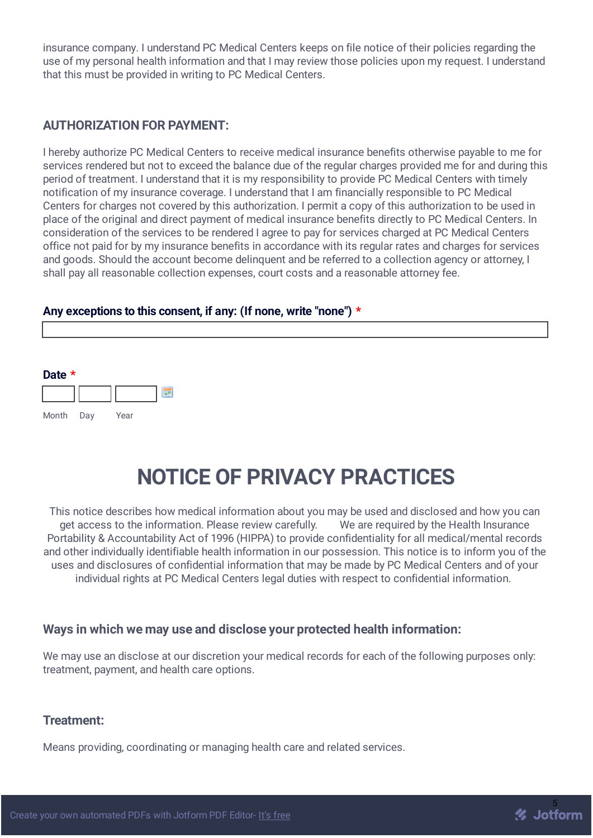insurance company. I understand PC Medical Centers keeps on file notice of their policies regarding the use of my personal health information and that I may review those policies upon my request. I understand that this must be provided in writing to PC Medical Centers.

# **AUTHORIZATION FOR PAYMENT:**

I hereby authorize PC Medical Centers to receive medical insurance benefits otherwise payable to me for services rendered but not to exceed the balance due of the regular charges provided me for and during this period of treatment. I understand that it is my responsibility to provide PC Medical Centers with timely notification of my insurance coverage. I understand that I am financially responsible to PC Medical Centers for charges not covered by this authorization. I permit a copy of this authorization to be used in place of the original and direct payment of medical insurance benefits directly to PC Medical Centers. In consideration of the services to be rendered I agree to pay for services charged at PC Medical Centers office not paid for by my insurance benefits in accordance with its regular rates and charges for services and goods. Should the account become delinquent and be referred to a collection agency or attorney. I shall pay all reasonable collection expenses, court costs and a reasonable attorney fee.

#### **Any exceptions to this consent, if any: (If none, write "none") \***



# **NOTICE OF PRIVACY PRACTICES**

This notice describes how medical information about you may be used and disclosed and how you can get access to the information. Please review carefully. We are required by the Health Insurance Portability & Accountability Act of 1996 (HIPPA) to provide confidentiality for all medical/mental records and other individually identifiable health information in our possession. This notice is to inform you of the uses and disclosures of confidential information that may be made by PC Medical Centers and of your individual rights at PC Medical Centers legal duties with respect to confidential information.

#### **Ways in which we may use and disclose your protected health information:**

We may use an disclose at our discretion your medical records for each of the following purposes only: treatment, payment, and health care options.

#### **Treatment:**

Means providing, coordinating or managing health care and related services.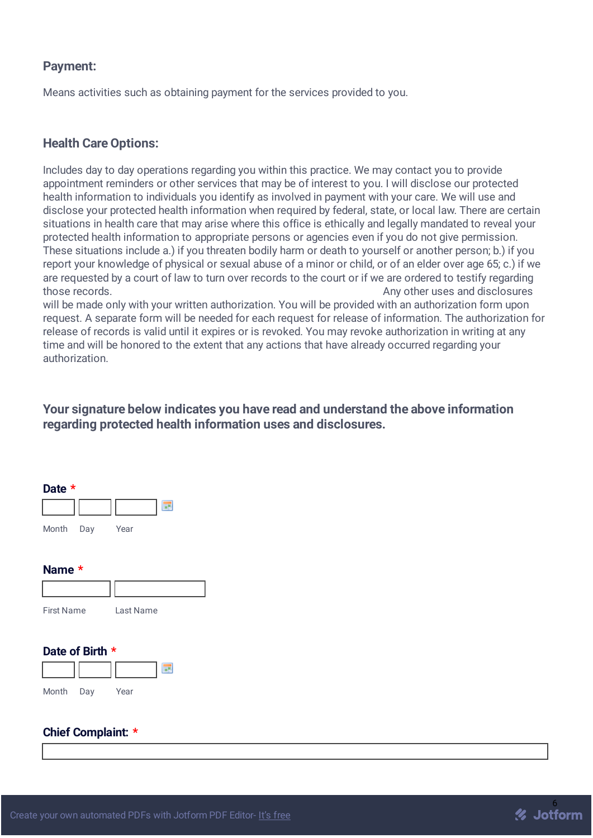### **Payment:**

Means activities such as obtaining payment for the services provided to you.

# **Health Care Options:**

Includes day to day operations regarding you within this practice. We may contact you to provide appointment reminders or other services that may be of interest to you. I will disclose our protected health information to individuals you identify as involved in payment with your care. We will use and disclose your protected health information when required by federal, state, or local law. There are certain situations in health care that may arise where this office is ethically and legally mandated to reveal your protected health information to appropriate persons or agencies even if you do not give permission. These situations include a.) if you threaten bodily harm or death to yourself or another person; b.) if you report your knowledge of physical or sexual abuse of a minor or child, or of an elder over age 65; c.) if we are requested by a court of law to turn over records to the court or if we are ordered to testify regarding those records. Any other uses and disclosures

will be made only with your written authorization. You will be provided with an authorization form upon request. A separate form will be needed for each request for release of information. The authorization for release of records is valid until it expires or is revoked. You may revoke authorization in writing at any time and will be honored to the extent that any actions that have already occurred regarding your authorization.

## **Your signature below indicates you have read and understand the above information regarding protected health information uses and disclosures.**



#### **Chief Complaint: \***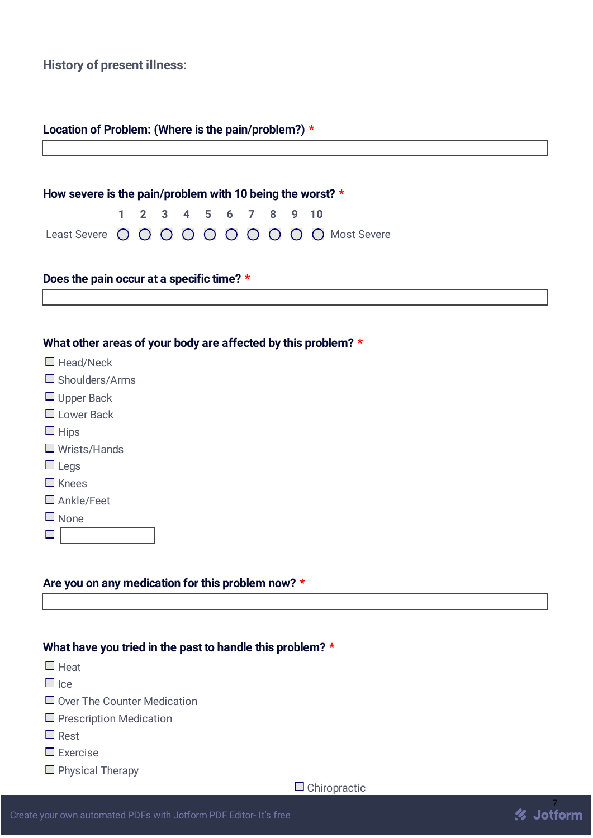**History of present illness:**

| Location of Problem: (Where is the pain/problem?) * |  |
|-----------------------------------------------------|--|
|                                                     |  |

| How severe is the pain/problem with 10 being the worst? $*$ |  |  |  |                      |  |  |  |  |                                              |
|-------------------------------------------------------------|--|--|--|----------------------|--|--|--|--|----------------------------------------------|
|                                                             |  |  |  | 1 2 3 4 5 6 7 8 9 10 |  |  |  |  |                                              |
|                                                             |  |  |  |                      |  |  |  |  | Least Severe O O O O O O O O O O Most Severe |

# **Does the pain occur at a specific time? \***

#### **What other areas of your body are affected by this problem? \***

| $\Box$ Head/Neck         |  |
|--------------------------|--|
| $\square$ Shoulders/Arms |  |
| $\Box$ Upper Back        |  |
| $\square$ Lower Back     |  |
| $\square$ Hips           |  |
| $\square$ Wrists/Hands   |  |
| $\square$ Legs           |  |
| $\Box$ Knees             |  |
| $\Box$ Ankle/Feet        |  |
| $\square$ None           |  |
|                          |  |

#### **Are you on any medication for this problem now? \***

#### **What have you tried in the past to handle this problem? \***

- $\Box$  Heat
- $\Box$  Ice
- $\Box$  Over The Counter Medication
- $\square$  Prescription Medication
- **D** Rest
- $\square$  Exercise
- $\Box$  Physical Therapy

 $\Box$  Chiropractic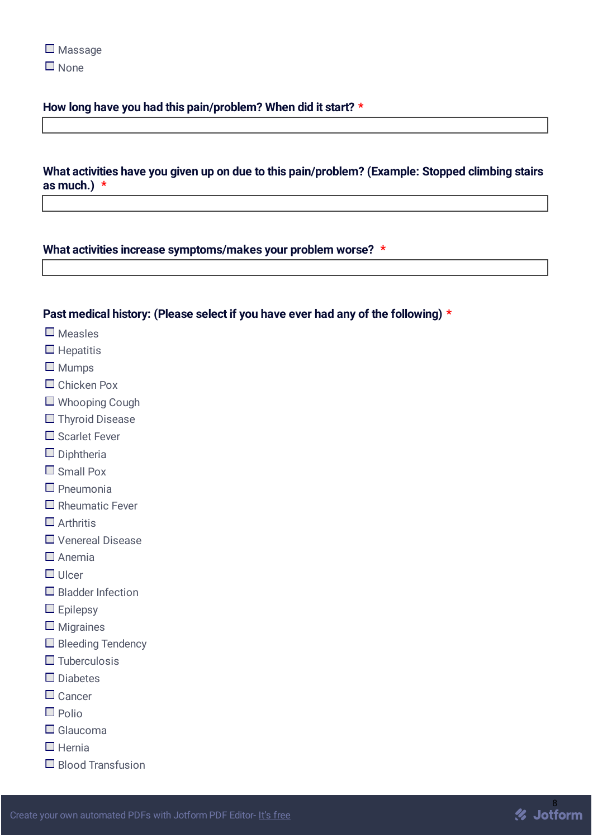#### **How long have you had this pain/problem? When did it start? \***

#### **What activities have you given up on due to this pain/problem? (Example: Stopped climbing stairs as much.) \***

#### **What activities increase symptoms/makes your problem worse? \***

#### **Past medical history: (Please select if you have ever had any of the following) \***

- $\square$  Measles
- $\Box$  Hepatitis
- $\square$  Mumps
- □ Chicken Pox
- Whooping Cough
- $\Box$  Thyroid Disease
- $\square$  Scarlet Fever
- $\square$  Diphtheria
- $\Box$  Small Pox
- $\Box$  Pneumonia
- $\Box$  Rheumatic Fever
- $\Box$  Arthritis
- □ Venereal Disease
- $\Box$  Anemia
- $\Box$  Ulcer
- $\Box$  Bladder Infection
- $\Box$  Epilepsy
- $\square$  Migraines
- $\Box$  Bleeding Tendency
- $\Box$  Tuberculosis
- $\square$  Diabetes
- $\Box$  Cancer
- $\Box$  Polio
- $\Box$  Glaucoma
- $\Box$  Hernia
- $\Box$  Blood Transfusion

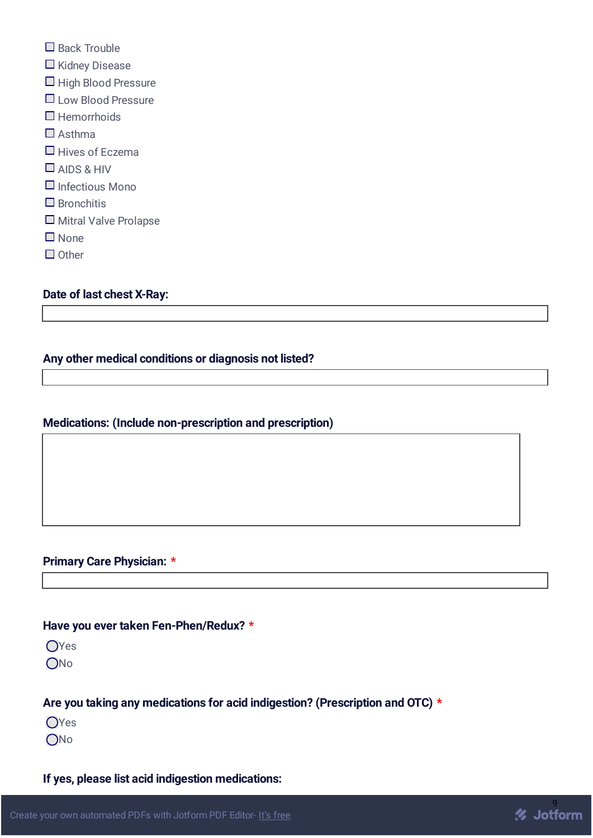- $\Box$  Back Trouble
- $\Box$  Kidney Disease
- $\Box$  High Blood Pressure
- **Low Blood Pressure**
- $\Box$  Hemorrhoids
- $\Box$  Asthma
- $\Box$  Hives of Eczema
- AIDS & HIV
- $\Box$  Infectious Mono
- $\Box$  Bronchitis
- $\Box$  Mitral Valve Prolapse
- None
- $\Box$  Other

# **Date of last chest X-Ray:**

# **Any other medical conditions or diagnosis not listed?**

# **Medications: (Include non-prescription and prescription)**

# **Primary Care Physician: \***

#### **Have you ever taken Fen-Phen/Redux? \***

OYes

 $ONO$ 

# **Are you taking any medications for acid indigestion? (Prescription and OTC) \***

OYes

ONo

# **If yes, please list acid indigestion medications:**

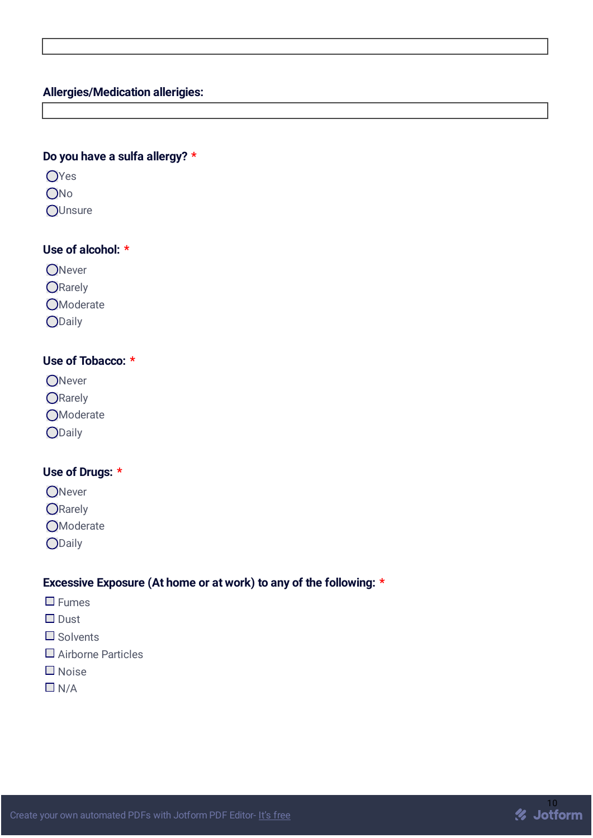# **Allergies/Medication allerigies:**

## **Do you have a sulfa allergy? \***

- OYes
- ONo
- **OUnsure**

# **Use of alcohol: \***

- ONever
- ORarely
- **O**Moderate
- ODaily

# **Use of Tobacco: \***

- ONever
- ORarely
- **O**Moderate
- ODaily

# **Use of Drugs: \***

- ONever
- ORarely
- **O**Moderate
- ODaily

#### **Excessive Exposure (At home or at work) to any of the following: \***

- **D** Fumes
- □ Dust
- $\Box$  Solvents
- □ Airborne Particles
- Noise
- $\Box$  N/A

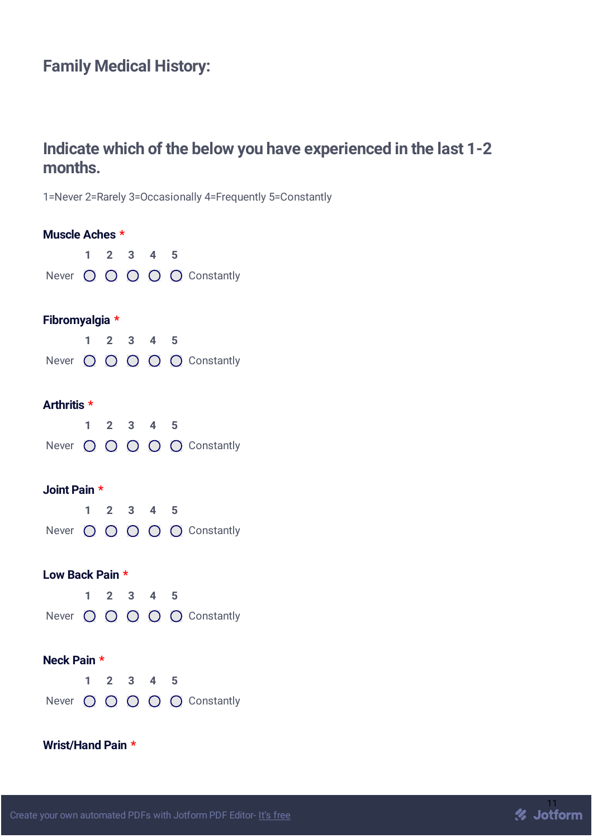# **Family Medical History:**

# **Indicate which of the below you have experienced in the last 1-2 months.**

1=Never 2=Rarely 3=Occasionally 4=Frequently 5=Constantly

| Muscle Aches *    |   |                                     |  |   |                            |
|-------------------|---|-------------------------------------|--|---|----------------------------|
|                   |   | $1 \quad 2 \quad 3 \quad 4 \quad 5$ |  |   |                            |
|                   |   |                                     |  |   | Never O O O O O Constantly |
|                   |   |                                     |  |   |                            |
| Fibromyalgia *    |   |                                     |  |   |                            |
|                   |   | $1 2 3 4 5$                         |  |   |                            |
|                   |   |                                     |  |   | Never O O O O O Constantly |
| Arthritis *       |   |                                     |  |   |                            |
|                   |   | $1 \quad 2 \quad 3 \quad 4 \quad 5$ |  |   |                            |
|                   |   |                                     |  |   | Never O O O O O Constantly |
|                   |   |                                     |  |   |                            |
| Joint Pain *      |   |                                     |  |   |                            |
|                   |   | $1 \quad 2 \quad 3 \quad 4 \quad 5$ |  |   |                            |
|                   |   |                                     |  |   | Never O O O O O Constantly |
| Low Back Pain *   |   |                                     |  |   |                            |
|                   |   | $1 \quad 2 \quad 3 \quad 4 \quad 5$ |  |   |                            |
|                   |   |                                     |  |   | Never O O O O O Constantly |
|                   |   |                                     |  |   |                            |
| Neck Pain *       |   |                                     |  |   |                            |
|                   | 1 | $2 \quad 3 \quad 4$                 |  | 5 |                            |
|                   |   |                                     |  |   | Never O O O O O Constantly |
|                   |   |                                     |  |   |                            |
| Wrist/Hand Pain * |   |                                     |  |   |                            |

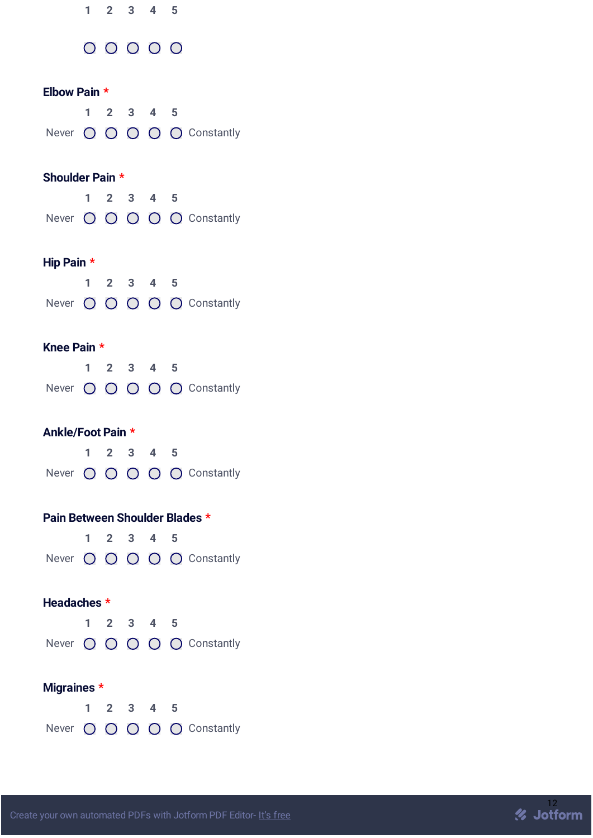|                                |             | $1 \quad 2 \quad 3 \quad 4 \quad 5$ |   |                            |
|--------------------------------|-------------|-------------------------------------|---|----------------------------|
|                                |             | $00000$                             |   |                            |
| Elbow Pain *                   |             |                                     |   |                            |
|                                |             | $1 2 3 4 5$                         |   |                            |
|                                |             |                                     |   | Never O O O O O Constantly |
| Shoulder Pain *                |             |                                     |   |                            |
|                                |             | $1 \quad 2 \quad 3 \quad 4 \quad 5$ |   |                            |
|                                |             |                                     |   | Never O O O O O Constantly |
| Hip Pain *                     |             |                                     |   |                            |
|                                |             | $1 \quad 2 \quad 3 \quad 4 \quad 5$ |   |                            |
|                                |             |                                     |   | Never O O O O O Constantly |
| Knee Pain *                    |             |                                     |   |                            |
|                                | $\mathbf 1$ | $2 \quad 3 \quad 4 \quad 5$         |   |                            |
|                                |             |                                     |   | Never O O O O O Constantly |
| Ankle/Foot Pain *              |             |                                     |   |                            |
|                                |             | $1 \quad 2 \quad 3 \quad 4 \quad 5$ |   |                            |
|                                |             |                                     |   | Never O O O O O Constantly |
| Pain Between Shoulder Blades * |             |                                     |   |                            |
|                                | $\mathbf 1$ | $2 \quad 3 \quad 4$                 | 5 |                            |
|                                |             |                                     |   | Never O O O O O Constantly |
| Headaches *                    |             |                                     |   |                            |
|                                |             | $1 \quad 2 \quad 3 \quad 4 \quad 5$ |   |                            |
|                                |             |                                     |   | Never O O O O O Constantly |
| Migraines *                    |             |                                     |   |                            |
|                                |             | $1 \quad 2 \quad 3 \quad 4 \quad 5$ |   |                            |
|                                |             |                                     |   | Never O O O O O Constantly |

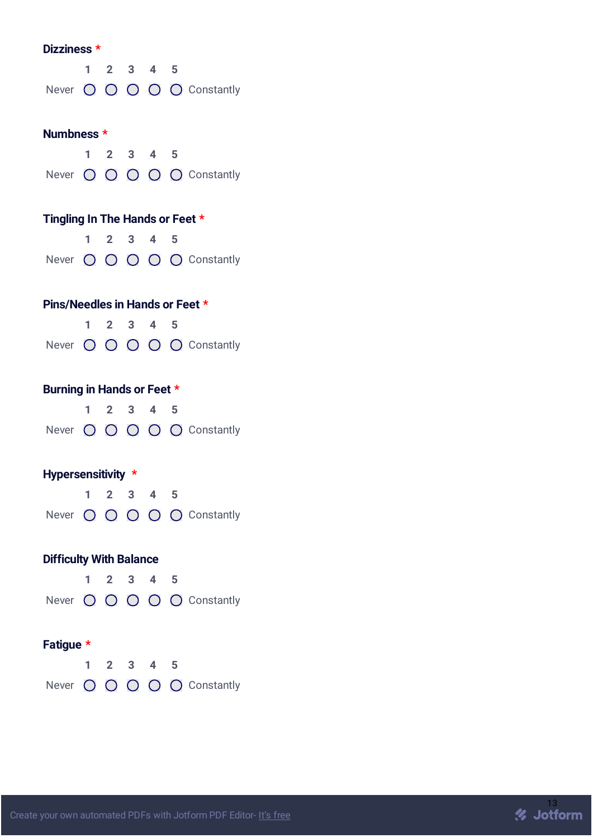| Dizziness *                     |    |  |             |                                     |     |                            |  |  |  |  |  |  |
|---------------------------------|----|--|-------------|-------------------------------------|-----|----------------------------|--|--|--|--|--|--|
|                                 |    |  |             | $1 \quad 2 \quad 3 \quad 4 \quad 5$ |     |                            |  |  |  |  |  |  |
|                                 |    |  |             |                                     |     | Never O O O O O Constantly |  |  |  |  |  |  |
|                                 |    |  |             |                                     |     |                            |  |  |  |  |  |  |
| Numbness *                      |    |  |             |                                     |     |                            |  |  |  |  |  |  |
|                                 |    |  |             | $1 \quad 2 \quad 3 \quad 4 \quad 5$ |     |                            |  |  |  |  |  |  |
|                                 |    |  |             |                                     |     | Never O O O O O Constantly |  |  |  |  |  |  |
|                                 |    |  |             |                                     |     |                            |  |  |  |  |  |  |
| Tingling In The Hands or Feet * |    |  |             |                                     |     |                            |  |  |  |  |  |  |
|                                 |    |  |             | $1 \quad 2 \quad 3 \quad 4 \quad 5$ |     |                            |  |  |  |  |  |  |
|                                 |    |  |             |                                     |     | Never O O O O O Constantly |  |  |  |  |  |  |
|                                 |    |  |             |                                     |     |                            |  |  |  |  |  |  |
| Pins/Needles in Hands or Feet * |    |  |             |                                     |     |                            |  |  |  |  |  |  |
|                                 |    |  |             | $1 \quad 2 \quad 3 \quad 4 \quad 5$ |     |                            |  |  |  |  |  |  |
|                                 |    |  |             |                                     |     | Never O O O O O Constantly |  |  |  |  |  |  |
|                                 |    |  |             |                                     |     |                            |  |  |  |  |  |  |
| Burning in Hands or Feet *      |    |  |             |                                     |     |                            |  |  |  |  |  |  |
|                                 |    |  |             |                                     |     |                            |  |  |  |  |  |  |
|                                 |    |  |             | $1 \quad 2 \quad 3 \quad 4 \quad 5$ |     |                            |  |  |  |  |  |  |
|                                 |    |  |             |                                     |     | Never O O O O O Constantly |  |  |  |  |  |  |
|                                 |    |  |             |                                     |     |                            |  |  |  |  |  |  |
| Hypersensitivity *              |    |  |             |                                     |     |                            |  |  |  |  |  |  |
|                                 |    |  | $2 \quad 3$ | 4                                   | - 5 |                            |  |  |  |  |  |  |
|                                 |    |  |             |                                     |     | Never O O O O O Constantly |  |  |  |  |  |  |
|                                 |    |  |             |                                     |     |                            |  |  |  |  |  |  |
| <b>Difficulty With Balance</b>  |    |  |             |                                     |     |                            |  |  |  |  |  |  |
|                                 | 1. |  | $2 \quad 3$ | 4 <sub>5</sub>                      |     |                            |  |  |  |  |  |  |
|                                 |    |  |             |                                     |     | Never O O O O O Constantly |  |  |  |  |  |  |
|                                 |    |  |             |                                     |     |                            |  |  |  |  |  |  |
| Fatigue *                       |    |  |             |                                     |     |                            |  |  |  |  |  |  |
|                                 |    |  |             | $1 \quad 2 \quad 3 \quad 4 \quad 5$ |     |                            |  |  |  |  |  |  |

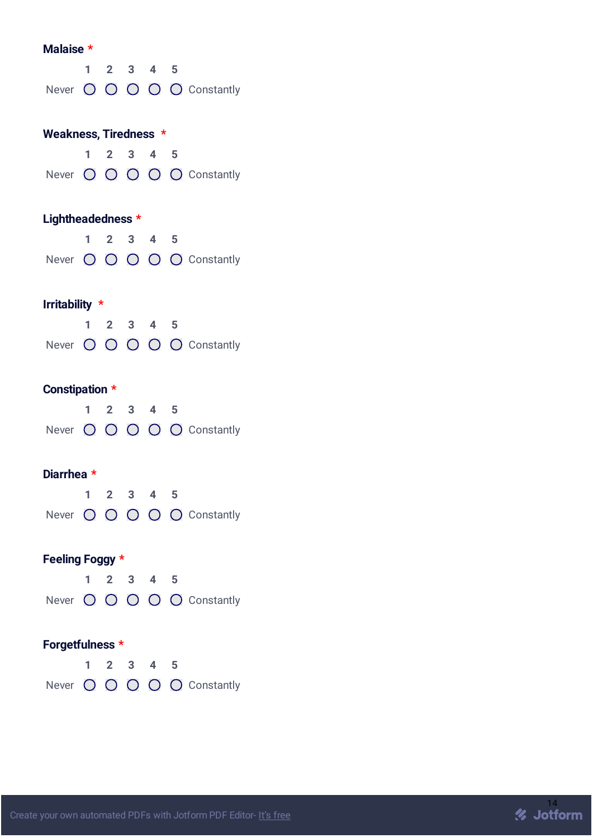#### **Malaise \***

|  |  | 1 2 3 4 5 |                            |
|--|--|-----------|----------------------------|
|  |  |           | Never O O O O O Constantly |

# **Weakness, Tiredness \* 1 2 3 4 5**

|  |  | . |                            |
|--|--|---|----------------------------|
|  |  |   | Never O O O O O Constantly |

# **Lightheadedness \***

|  |  | 1 2 3 4 5 |                            |
|--|--|-----------|----------------------------|
|  |  |           | Never O O O O O Constantly |

# **Irritability \***

|  |  | 1 2 3 4 5 |                            |
|--|--|-----------|----------------------------|
|  |  |           | Never O O O O O Constantly |

# **Constipation \***

|  |  | 1 2 3 4 5 |                            |
|--|--|-----------|----------------------------|
|  |  |           | Never O O O O O Constantly |

## **Diarrhea \***

|  |  | $1 \t2 \t3 \t4 \t5$ |                            |
|--|--|---------------------|----------------------------|
|  |  |                     | Never O O O O O Constantly |

# **Feeling Foggy \***

|  |  | 1 2 3 4 5 |                            |
|--|--|-----------|----------------------------|
|  |  |           | Never O O O O O Constantly |

# **Forgetfulness \***

|  |  | 1 2 3 4 5 |                            |
|--|--|-----------|----------------------------|
|  |  |           | Never O O O O O Constantly |